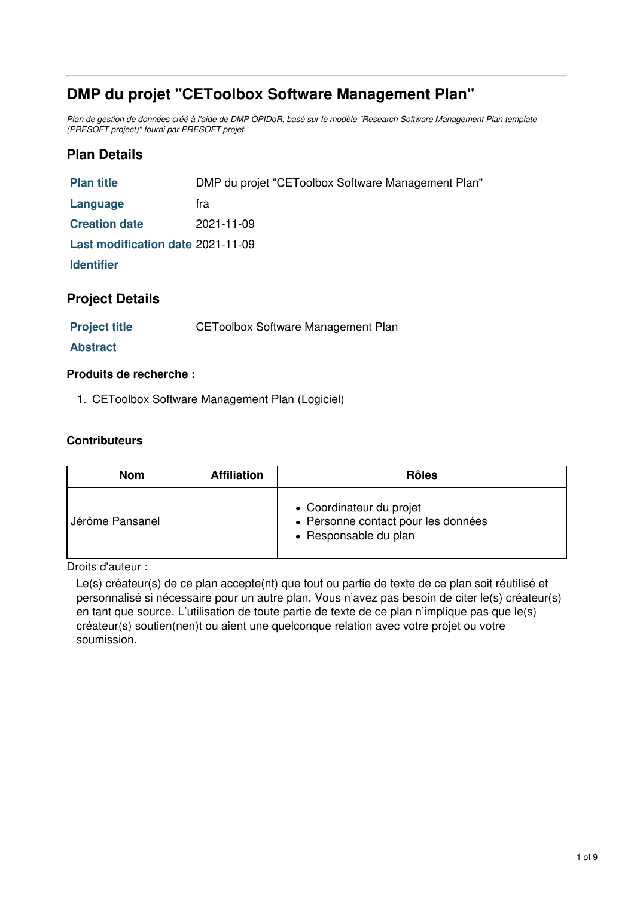# **DMP du projet "CEToolbox Software Management Plan"**

Plan de gestion de données créé à l'aide de DMP OPIDoR, basé sur le modèle "Research Software Management Plan template *(PRESOFT project)" fourni par PRESOFT projet.*

## **Plan Details**

| <b>Plan title</b>                 | DMP du projet "CEToolbox Software Management Plan" |  |
|-----------------------------------|----------------------------------------------------|--|
| Language                          | tra                                                |  |
| <b>Creation date</b>              | 2021-11-09                                         |  |
| Last modification date 2021-11-09 |                                                    |  |
| <b>Identifier</b>                 |                                                    |  |
|                                   |                                                    |  |

#### **Project Details**

**Project title** CEToolbox Software Management Plan

#### **Abstract**

#### **Produits de recherche :**

1. CEToolbox Software Management Plan (Logiciel)

#### **Contributeurs**

| <b>Nom</b>      | <b>Affiliation</b> | <b>Rôles</b>                                                                             |
|-----------------|--------------------|------------------------------------------------------------------------------------------|
| Jérôme Pansanel |                    | • Coordinateur du projet<br>• Personne contact pour les données<br>• Responsable du plan |

Droits d'auteur :

Le(s) créateur(s) de ce plan accepte(nt) que tout ou partie de texte de ce plan soit réutilisé et personnalisé si nécessaire pour un autre plan. Vous n'avez pas besoin de citer le(s) créateur(s) en tant que source. L'utilisation de toute partie de texte de ce plan n'implique pas que le(s) créateur(s) soutien(nen)t ou aient une quelconque relation avec votre projet ou votre soumission.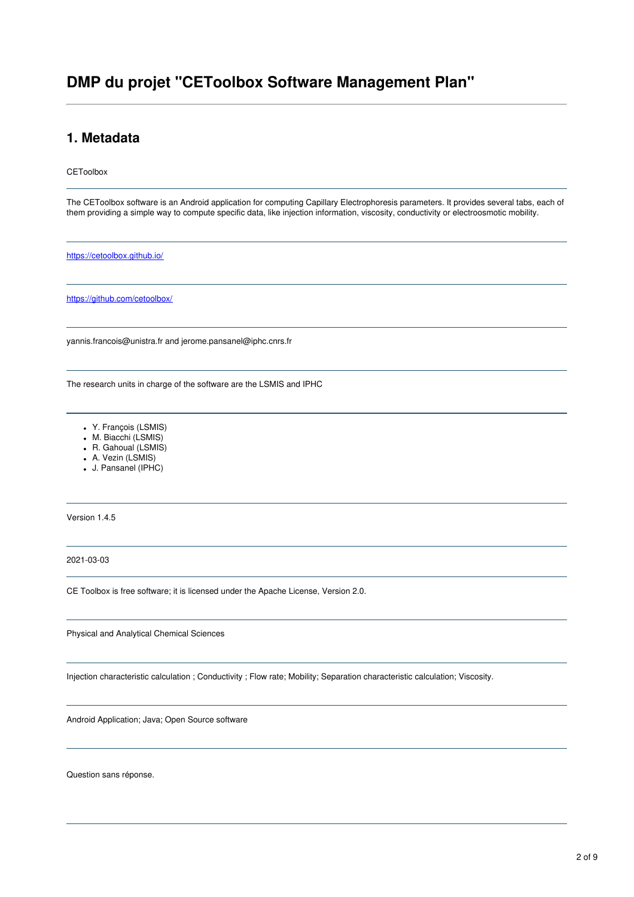# **DMP du projet "CEToolbox Software Management Plan"**

### **1. Metadata**

**CEToolbox** 

The CEToolbox software is an Android application for computing Capillary Electrophoresis parameters. It provides several tabs, each of them providing a simple way to compute specific data, like injection information, viscosity, conductivity or electroosmotic mobility.

<https://cetoolbox.github.io/>

<https://github.com/cetoolbox/>

yannis.francois@unistra.fr and jerome.pansanel@iphc.cnrs.fr

The research units in charge of the software are the LSMIS and IPHC

- Y. François (LSMIS)
- M. Biacchi (LSMIS)
- R. Gahoual (LSMIS)
- A. Vezin (LSMIS)
- J. Pansanel (IPHC)

Version 1.4.5

2021-03-03

CE Toolbox is free software; it is licensed under the Apache License, Version 2.0.

Physical and Analytical Chemical Sciences

Injection characteristic calculation ; Conductivity ; Flow rate; Mobility; Separation characteristic calculation; Viscosity.

Android Application; Java; Open Source software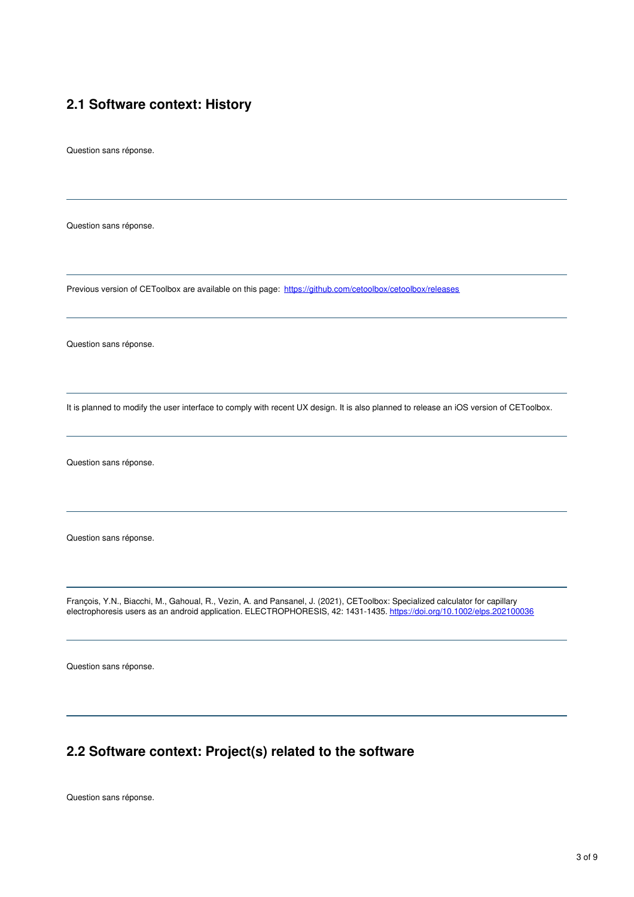## **2.1 Software context: History**

Question sans réponse.

Question sans réponse.

Previous version of CEToolbox are available on this page: <https://github.com/cetoolbox/cetoolbox/releases>

Question sans réponse.

It is planned to modify the user interface to comply with recent UX design. It is also planned to release an iOS version of CEToolbox.

Question sans réponse.

Question sans réponse.

François, Y.N., Biacchi, M., Gahoual, R., Vezin, A. and Pansanel, J. (2021), CEToolbox: Specialized calculator for capillary electrophoresis users as an android application. ELECTROPHORESIS, 42: 1431-1435. <https://doi.org/10.1002/elps.202100036>

Question sans réponse.

### **2.2 Software context: Project(s) related to the software**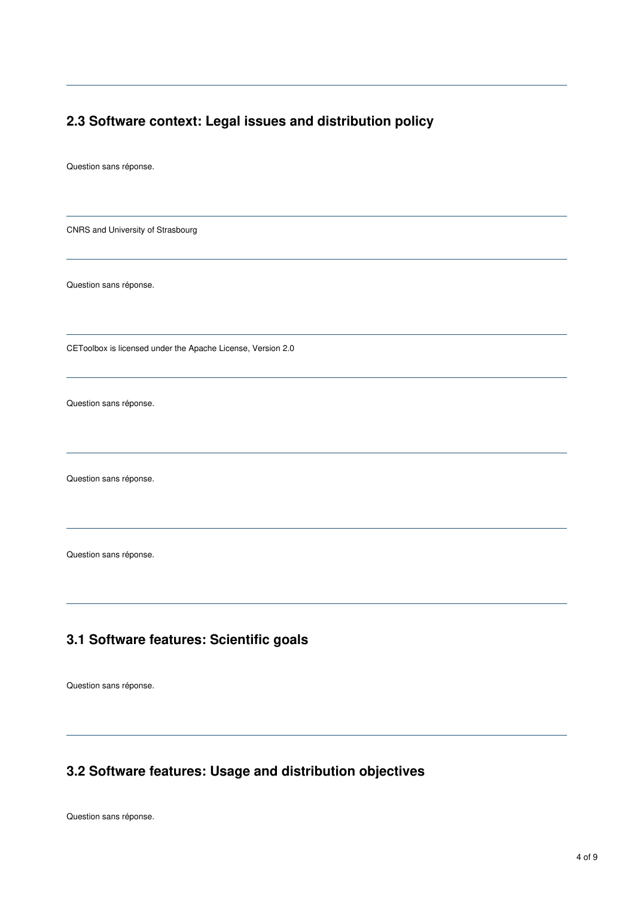## **2.3 Software context: Legal issues and distribution policy**

Question sans réponse.

CNRS and University of Strasbourg

Question sans réponse.

CEToolbox is licensed under the Apache License, Version 2.0

Question sans réponse.

Question sans réponse.

Question sans réponse.

# **3.1 Software features: Scientific goals**

Question sans réponse.

# **3.2 Software features: Usage and distribution objectives**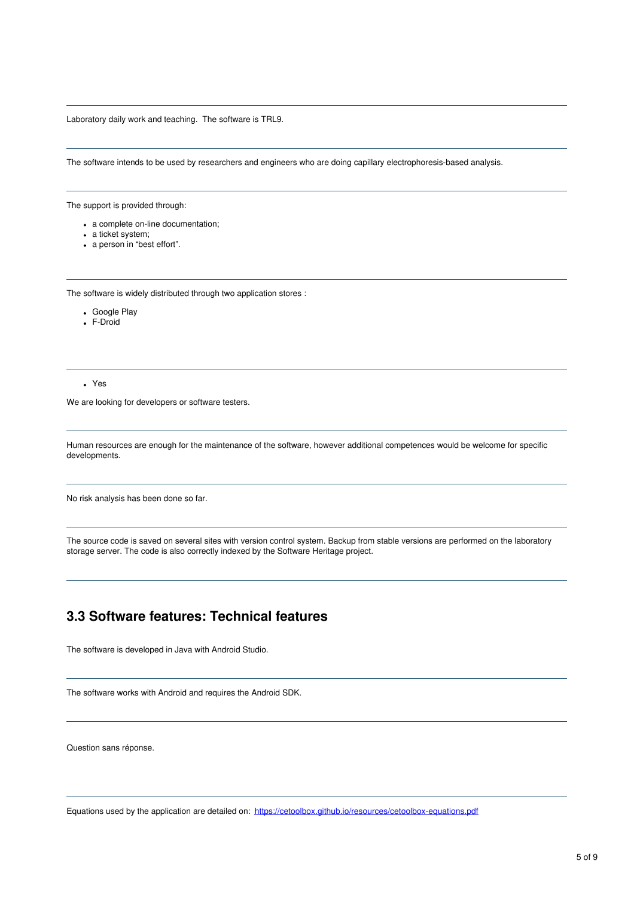#### Laboratory daily work and teaching. The software is TRL9.

The software intends to be used by researchers and engineers who are doing capillary electrophoresis-based analysis.

The support is provided through:

- a complete on-line documentation;
- a ticket system;
- a person in "best effort".

The software is widely distributed through two application stores :

- Google Play
- F-Droid

Yes

We are looking for developers or software testers.

Human resources are enough for the maintenance of the software, however additional competences would be welcome for specific developments.

No risk analysis has been done so far.

The source code is saved on several sites with version control system. Backup from stable versions are performed on the laboratory storage server. The code is also correctly indexed by the Software Heritage project.

### **3.3 Software features: Technical features**

The software is developed in Java with Android Studio.

The software works with Android and requires the Android SDK.

Question sans réponse.

Equations used by the application are detailed on: <https://cetoolbox.github.io/resources/cetoolbox-equations.pdf>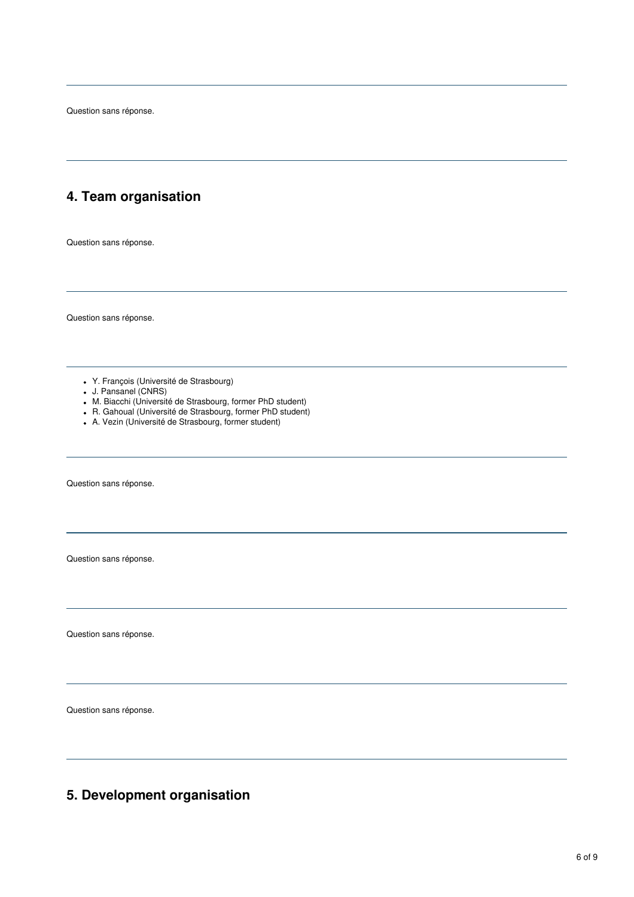Question sans réponse.

# **4. Team organisation**

Question sans réponse.

Question sans réponse.

- Y. François (Université de Strasbourg)
- J. Pansanel (CNRS)
- M. Biacchi (Université de Strasbourg, former PhD student)
- R. Gahoual (Université de Strasbourg, former PhD student)
- A. Vezin (Université de Strasbourg, former student)

Question sans réponse.

Question sans réponse.

Question sans réponse.

Question sans réponse.

# **5. Development organisation**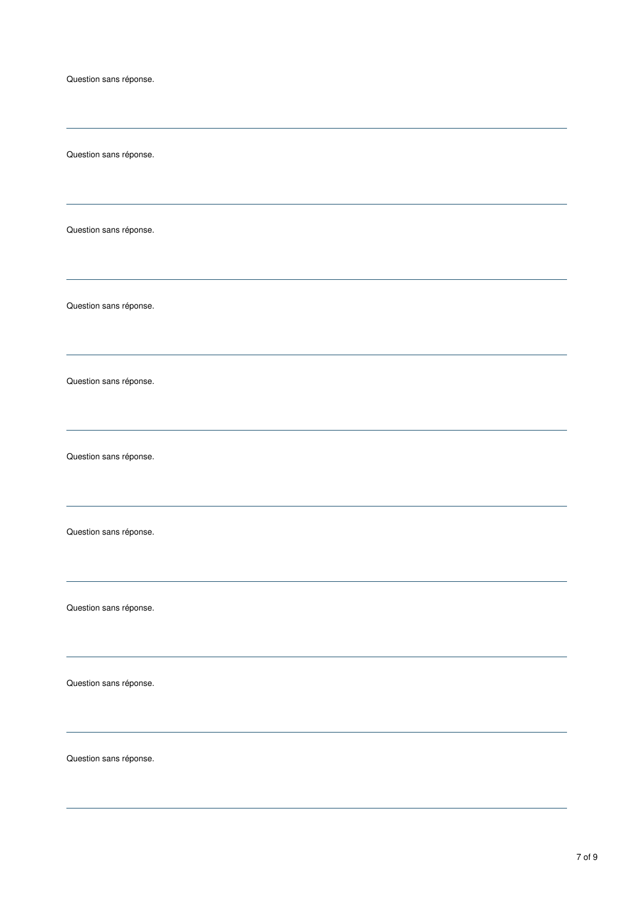Question sans réponse. Question sans réponse. Question sans réponse. Question sans réponse. Question sans réponse. Question sans réponse. Question sans réponse. Question sans réponse. Question sans réponse. Question sans réponse.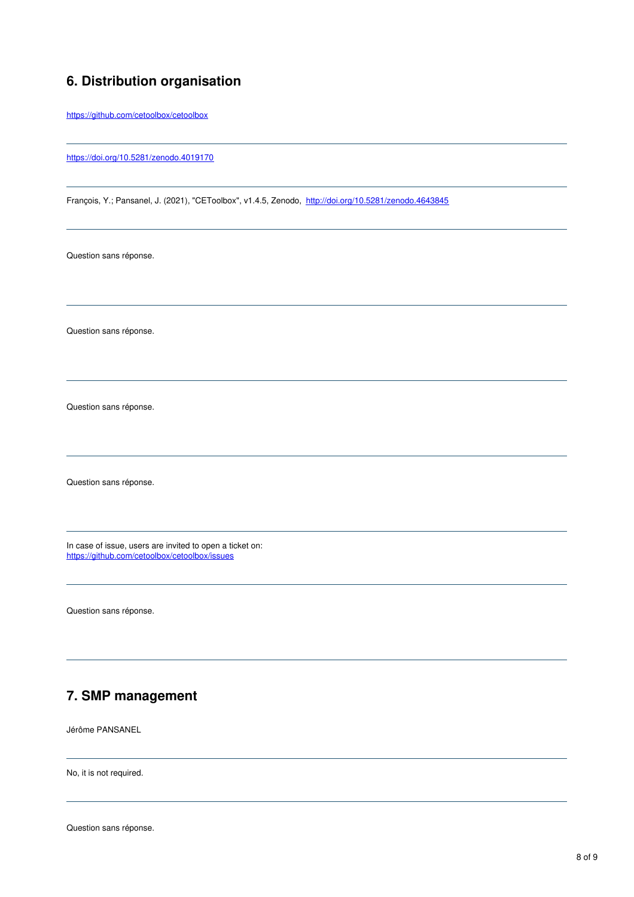## **6. Distribution organisation**

<https://github.com/cetoolbox/cetoolbox>

<https://doi.org/10.5281/zenodo.4019170>

François, Y.; Pansanel, J. (2021), "CEToolbox", v1.4.5, Zenodo, [http://doi.org/10.5281/zenodo.4643845](https://doi.org/10.5281/zenodo.4643845)

Question sans réponse.

Question sans réponse.

Question sans réponse.

Question sans réponse.

In case of issue, users are invited to open a ticket on: <https://github.com/cetoolbox/cetoolbox/issues>

Question sans réponse.

# **7. SMP management**

Jérôme PANSANEL

No, it is not required.